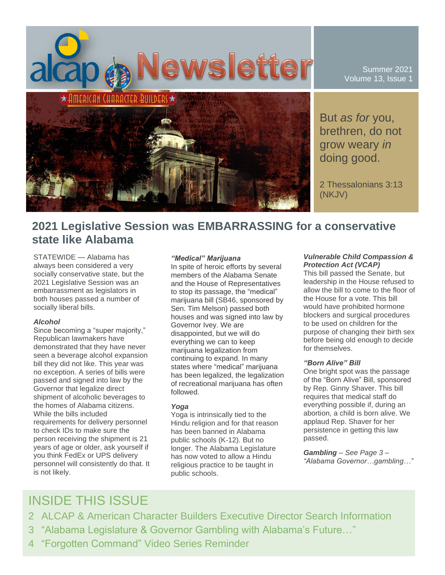

Summer 2021 Volume 13, Issue 1

But *as for* you, brethren, do not grow weary *in* doing good.

2 Thessalonians 3:13 (NKJV)

## **2021 Legislative Session was EMBARRASSING for a conservative state like Alabama**

STATEWIDE — Alabama has always been considered a very socially conservative state, but the 2021 Legislative Session was an embarrassment as legislators in both houses passed a number of socially liberal bills.

### *Alcohol*

Since becoming a "super majority," Republican lawmakers have demonstrated that they have never seen a beverage alcohol expansion bill they did not like. This year was no exception. A series of bills were passed and signed into law by the Governor that legalize direct shipment of alcoholic beverages to the homes of Alabama citizens. While the bills included requirements for delivery personnel to check IDs to make sure the person receiving the shipment is 21 years of age or older, ask yourself if you think FedEx or UPS delivery personnel will consistently do that. It is not likely.

#### *"Medical" Marijuana*

In spite of heroic efforts by several members of the Alabama Senate and the House of Representatives to stop its passage, the "medical" marijuana bill (SB46, sponsored by Sen. Tim Melson) passed both houses and was signed into law by Governor Ivey. We are disappointed, but we will do everything we can to keep marijuana legalization from continuing to expand. In many states where "medical" marijuana has been legalized, the legalization of recreational marijuana has often followed.

## *Yoga*

Yoga is intrinsically tied to the Hindu religion and for that reason has been banned in Alabama public schools (K-12). But no longer. The Alabama Legislature has now voted to allow a Hindu religious practice to be taught in public schools.

#### *Vulnerable Child Compassion & Protection Act (VCAP)*

This bill passed the Senate, but leadership in the House refused to allow the bill to come to the floor of the House for a vote. This bill would have prohibited hormone blockers and surgical procedures to be used on children for the purpose of changing their birth sex before being old enough to decide for themselves.

#### *"Born Alive" Bill*

One bright spot was the passage of the "Born Alive" Bill, sponsored by Rep. Ginny Shaver. This bill requires that medical staff do everything possible if, during an abortion, a child is born alive. We applaud Rep. Shaver for her persistence in getting this law passed.

*Gambling – See Page 3 – "Alabama Governor…gambling…"*

# INSIDE THIS ISSUE

- 2 ALCAP & American Character Builders Executive Director Search Information
- 3 "Alabama Legislature & Governor Gambling with Alabama's Future…"
- 4 "Forgotten Command" Video Series Reminder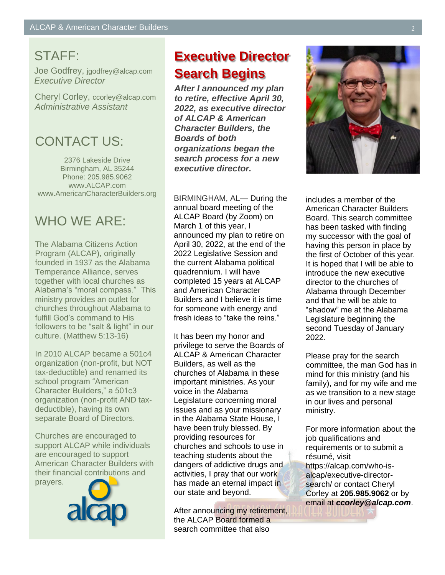# STAFF:

Joe Godfrey, jgodfrey@alcap.com *Executive Director*

Cheryl Corley, ccorley@alcap.com *Administrative Assistant*

## CONTACT US:

2376 Lakeside Drive Birmingham, AL 35244 Phone: 205.985.9062 www.ALCAP.com www.AmericanCharacterBuilders.org

# WHO WE ARE:

The Alabama Citizens Action Program (ALCAP), originally founded in 1937 as the Alabama Temperance Alliance, serves together with local churches as Alabama's "moral compass." This ministry provides an outlet for churches throughout Alabama to fulfill God's command to His followers to be "salt & light" in our culture. (Matthew 5:13-16)

In 2010 ALCAP became a 501c4 organization (non-profit, but NOT tax-deductible) and renamed its school program "American Character Builders," a 501c3 organization (non-profit AND taxdeductible), having its own separate Board of Directors.

Churches are encouraged to support ALCAP while individuals are encouraged to support American Character Builders with their financial contributions and prayers.



# **Executive Director Search Begins**

*After I announced my plan to retire, effective April 30, 2022, as executive director of ALCAP & American Character Builders, the Boards of both organizations began the search process for a new executive director.*

BIRMINGHAM, AL— During the annual board meeting of the ALCAP Board (by Zoom) on March 1 of this year, I announced my plan to retire on April 30, 2022, at the end of the 2022 Legislative Session and the current Alabama political quadrennium. I will have completed 15 years at ALCAP and American Character Builders and I believe it is time for someone with energy and fresh ideas to "take the reins."

It has been my honor and privilege to serve the Boards of ALCAP & American Character Builders, as well as the churches of Alabama in these important ministries. As your voice in the Alabama Legislature concerning moral issues and as your missionary in the Alabama State House, I have been truly blessed. By providing resources for churches and schools to use in teaching students about the dangers of addictive drugs and activities, I pray that our work has made an eternal impact in our state and beyond.

After announcing my retirement, the ALCAP Board formed a search committee that also



includes a member of the American Character Builders Board. This search committee has been tasked with finding my successor with the goal of having this person in place by the first of October of this year. It is hoped that I will be able to introduce the new executive director to the churches of Alabama through December and that he will be able to "shadow" me at the Alabama Legislature beginning the second Tuesday of January 2022.

Please pray for the search committee, the man God has in mind for this ministry (and his family), and for my wife and me as we transition to a new stage in our lives and personal ministry.

For more information about the job qualifications and requirements or to submit a résumé, visit https://alcap.com/who-isalcap/executive-directorsearch/ or contact Cheryl Corley at **205.985.9062** or by email at *ccorley@alcap.com*.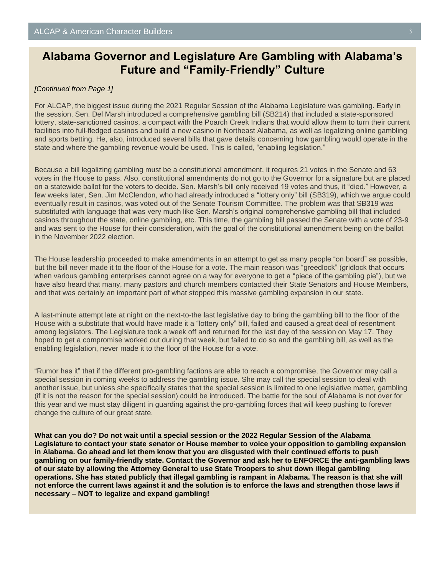## **Alabama Governor and Legislature Are Gambling with Alabama's Future and "Family-Friendly" Culture**

## *[Continued from Page 1]*

For ALCAP, the biggest issue during the 2021 Regular Session of the Alabama Legislature was gambling. Early in the session, Sen. Del Marsh introduced a comprehensive gambling bill (SB214) that included a state-sponsored lottery, state-sanctioned casinos, a compact with the Poarch Creek Indians that would allow them to turn their current facilities into full-fledged casinos and build a new casino in Northeast Alabama, as well as legalizing online gambling and sports betting. He, also, introduced several bills that gave details concerning how gambling would operate in the state and where the gambling revenue would be used. This is called, "enabling legislation."

Because a bill legalizing gambling must be a constitutional amendment, it requires 21 votes in the Senate and 63 votes in the House to pass. Also, constitutional amendments do not go to the Governor for a signature but are placed on a statewide ballot for the voters to decide. Sen. Marsh's bill only received 19 votes and thus, it "died." However, a few weeks later, Sen. Jim McClendon, who had already introduced a "lottery only" bill (SB319), which we argue could eventually result in casinos, was voted out of the Senate Tourism Committee. The problem was that SB319 was substituted with language that was very much like Sen. Marsh's original comprehensive gambling bill that included casinos throughout the state, online gambling, etc. This time, the gambling bill passed the Senate with a vote of 23-9 and was sent to the House for their consideration, with the goal of the constitutional amendment being on the ballot in the November 2022 election.

The House leadership proceeded to make amendments in an attempt to get as many people "on board" as possible, but the bill never made it to the floor of the House for a vote. The main reason was "greedlock" (gridlock that occurs when various gambling enterprises cannot agree on a way for everyone to get a "piece of the gambling pie"), but we have also heard that many, many pastors and church members contacted their State Senators and House Members, and that was certainly an important part of what stopped this massive gambling expansion in our state.

A last-minute attempt late at night on the next-to-the last legislative day to bring the gambling bill to the floor of the House with a substitute that would have made it a "lottery only" bill, failed and caused a great deal of resentment among legislators. The Legislature took a week off and returned for the last day of the session on May 17. They hoped to get a compromise worked out during that week, but failed to do so and the gambling bill, as well as the enabling legislation, never made it to the floor of the House for a vote.

"Rumor has it" that if the different pro-gambling factions are able to reach a compromise, the Governor may call a special session in coming weeks to address the gambling issue. She may call the special session to deal with another issue, but unless she specifically states that the special session is limited to one legislative matter, gambling (if it is not the reason for the special session) could be introduced. The battle for the soul of Alabama is not over for this year and we must stay diligent in guarding against the pro-gambling forces that will keep pushing to forever change the culture of our great state.

**What can you do? Do not wait until a special session or the 2022 Regular Session of the Alabama Legislature to contact your state senator or House member to voice your opposition to gambling expansion in Alabama. Go ahead and let them know that you are disgusted with their continued efforts to push gambling on our family-friendly state. Contact the Governor and ask her to ENFORCE the anti-gambling laws of our state by allowing the Attorney General to use State Troopers to shut down illegal gambling operations. She has stated publicly that illegal gambling is rampant in Alabama. The reason is that she will not enforce the current laws against it and the solution is to enforce the laws and strengthen those laws if necessary – NOT to legalize and expand gambling!**